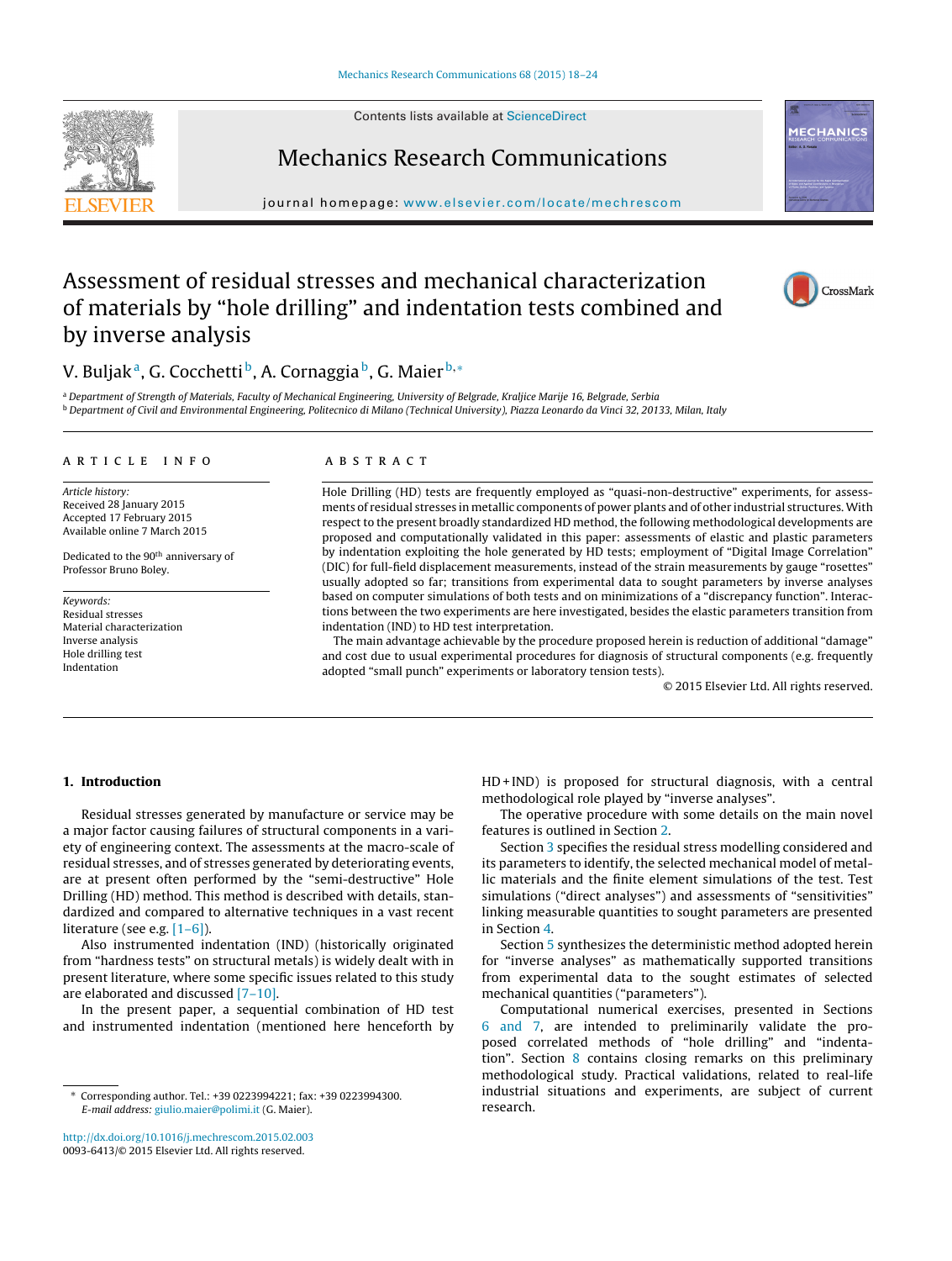Contents lists available at [ScienceDirect](http://www.sciencedirect.com/science/journal/00936413)





## Mechanics Research Communications

journal homepage: [www.elsevier.com/locate/mechrescom](http://www.elsevier.com/locate/mechrescom)

# Assessment of residual stresses and mechanical characterization of materials by "hole drilling" and indentation tests combined and by inverse analysis



## V. Buljak<sup>a</sup>, G. Cocchetti<sup>b</sup>, A. Cornaggia<sup>b</sup>, G. Maier<sup>b,\*</sup>

<sup>a</sup> Department of Strength of Materials, Faculty of Mechanical Engineering, University of Belgrade, Kraljice Marije 16, Belgrade, Serbia <sup>b</sup> Department of Civil and Environmental Engineering, Politecnico di Milano (Technical University), Piazza Leonardo da Vinci 32, 20133, Milan, Italy

### a r t i c l e i n f o

Article history: Received 28 January 2015 Accepted 17 February 2015 Available online 7 March 2015

Dedicated to the 90<sup>th</sup> anniversary of Professor Bruno Boley.

Keywords: Residual stresses Material characterization Inverse analysis Hole drilling test Indentation

## A B S T R A C T

Hole Drilling (HD) tests are frequently employed as "quasi-non-destructive" experiments, for assessments of residual stresses in metallic components of power plants and of other industrial structures. With respect to the present broadly standardized HD method, the following methodological developments are proposed and computationally validated in this paper: assessments of elastic and plastic parameters by indentation exploiting the hole generated by HD tests; employment of "Digital Image Correlation" (DIC) for full-field displacement measurements, instead of the strain measurements by gauge "rosettes" usually adopted so far; transitions from experimental data to sought parameters by inverse analyses based on computer simulations of both tests and on minimizations of a "discrepancy function". Interactions between the two experiments are here investigated, besides the elastic parameters transition from indentation (IND) to HD test interpretation.

The main advantage achievable by the procedure proposed herein is reduction of additional "damage" and cost due to usual experimental procedures for diagnosis of structural components (e.g. frequently adopted "small punch" experiments or laboratory tension tests).

© 2015 Elsevier Ltd. All rights reserved.

## **1. Introduction**

Residual stresses generated by manufacture or service may be a major factor causing failures of structural components in a variety of engineering context. The assessments at the macro-scale of residual stresses, and of stresses generated by deteriorating events, are at present often performed by the "semi-destructive" Hole Drilling (HD) method. This method is described with details, standardized and compared to alternative techniques in a vast recent literature (see e.g. [\[1–6\]\).](#page-6-0)

Also instrumented indentation (IND) (historically originated from "hardness tests" on structural metals) is widely dealt with in present literature, where some specific issues related to this study are elaborated and discussed [\[7–10\].](#page-6-0)

In the present paper, a sequential combination of HD test and instrumented indentation (mentioned here henceforth by

[http://dx.doi.org/10.1016/j.mechrescom.2015.02.003](dx.doi.org/10.1016/j.mechrescom.2015.02.003) 0093-6413/© 2015 Elsevier Ltd. All rights reserved.

HD + IND) is proposed for structural diagnosis, with a central methodological role played by "inverse analyses".

The operative procedure with some details on the main novel features is outlined in Section [2.](#page-1-0)

Section [3](#page-1-0) specifies the residual stress modelling considered and its parameters to identify, the selected mechanical model of metallic materials and the finite element simulations of the test. Test simulations ("direct analyses") and assessments of "sensitivities" linking measurable quantities to sought parameters are presented in Section [4.](#page-3-0)

Section [5](#page-4-0) synthesizes the deterministic method adopted herein for "inverse analyses" as mathematically supported transitions from experimental data to the sought estimates of selected mechanical quantities ("parameters").

Computational numerical exercises, presented in Sections [6](#page-5-0) [and](#page-5-0) [7,](#page-5-0) are intended to preliminarily validate the proposed correlated methods of "hole drilling" and "indentation". Section [8](#page-5-0) contains closing remarks on this preliminary methodological study. Practical validations, related to real-life industrial situations and experiments, are subject of current research.

<sup>∗</sup> Corresponding author. Tel.: +39 0223994221; fax: +39 0223994300. E-mail address: [giulio.maier@polimi.it](mailto:giulio.maier@polimi.it) (G. Maier).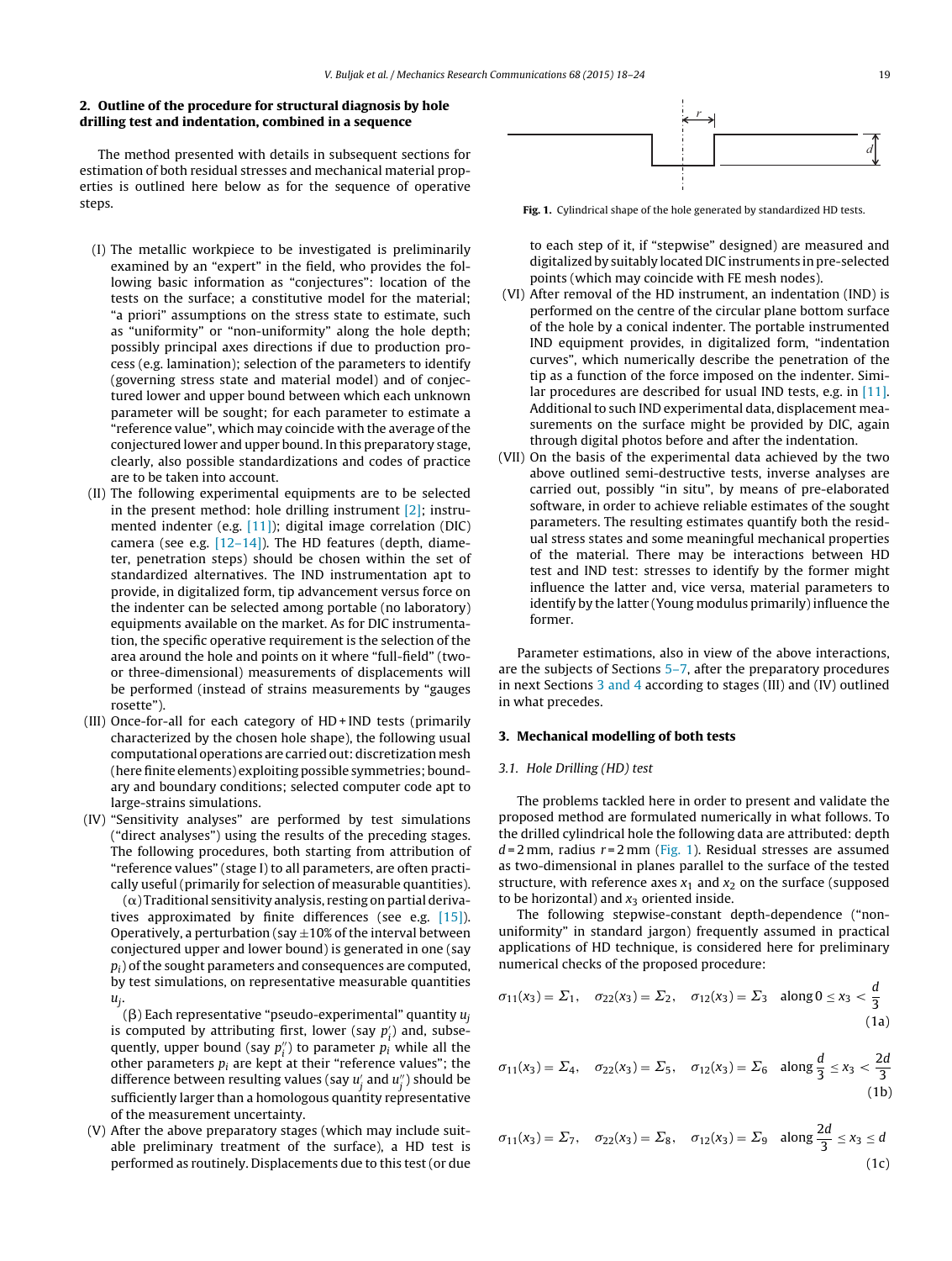## <span id="page-1-0"></span>**2. Outline of the procedure for structural diagnosis by hole drilling test and indentation, combined in a sequence**

The method presented with details in subsequent sections for estimation of both residual stresses and mechanical material properties is outlined here below as for the sequence of operative steps.

- (I) The metallic workpiece to be investigated is preliminarily examined by an "expert" in the field, who provides the following basic information as "conjectures": location of the tests on the surface; a constitutive model for the material; "a priori" assumptions on the stress state to estimate, such as "uniformity" or "non-uniformity" along the hole depth; possibly principal axes directions if due to production process (e.g. lamination); selection of the parameters to identify (governing stress state and material model) and of conjectured lower and upper bound between which each unknown parameter will be sought; for each parameter to estimate a "reference value", which may coincide with the average of the conjectured lower and upper bound. In this preparatory stage, clearly, also possible standardizations and codes of practice are to be taken into account.
- (II) The following experimental equipments are to be selected in the present method: hole drilling instrument [\[2\];](#page-6-0) instrumented indenter (e.g. [\[11\]\);](#page-6-0) digital image correlation (DIC) camera (see e.g.  $[12-14]$ ). The HD features (depth, diameter, penetration steps) should be chosen within the set of standardized alternatives. The IND instrumentation apt to provide, in digitalized form, tip advancement versus force on the indenter can be selected among portable (no laboratory) equipments available on the market. As for DIC instrumentation, the specific operative requirement is the selection of the area around the hole and points on it where "full-field" (twoor three-dimensional) measurements of displacements will be performed (instead of strains measurements by "gauges rosette").
- (III) Once-for-all for each category of HD + IND tests (primarily characterized by the chosen hole shape), the following usual computational operations are carried out: discretization mesh (here finite elements) exploiting possible symmetries; boundary and boundary conditions; selected computer code apt to large-strains simulations.
- (IV) "Sensitivity analyses" are performed by test simulations ("direct analyses") using the results of the preceding stages. The following procedures, both starting from attribution of "reference values" (stage I) to all parameters, are often practically useful (primarily for selection of measurable quantities).

 $(\alpha)$  Traditional sensitivity analysis, resting on partial derivatives approximated by finite differences (see e.g. [\[15\]\).](#page-6-0) Operatively, a perturbation (say  $\pm 10\%$  of the interval between conjectured upper and lower bound) is generated in one (say  $p_i$ ) of the sought parameters and consequences are computed, by test simulations, on representative measurable quantities  $u_i$ 

( $\beta$ ) Each representative "pseudo-experimental" quantity  $u_i$ is computed by attributing first, lower (say  $p'_i$ ) and, subsequently, upper bound (say  $p_i''$ ) to parameter  $p_i$  while all the other parameters  $p_i$  are kept at their "reference values"; the difference between resulting values (say  $u'_i$  and  $u''_i$ ) should be sufficiently larger than a homologous quantity representative of the measurement uncertainty.

(V) After the above preparatory stages (which may include suitable preliminary treatment of the surface), a HD test is performed as routinely. Displacements due to this test(or due



**Fig. 1.** Cylindrical shape of the hole generated by standardized HD tests.

to each step of it, if "stepwise" designed) are measured and digitalized by suitably located DIC instruments in pre-selected points (which may coincide with FE mesh nodes).

- (VI) After removal of the HD instrument, an indentation (IND) is performed on the centre of the circular plane bottom surface of the hole by a conical indenter. The portable instrumented IND equipment provides, in digitalized form, "indentation curves", which numerically describe the penetration of the tip as a function of the force imposed on the indenter. Simi-lar procedures are described for usual IND tests, e.g. in [\[11\].](#page-6-0) Additional to such IND experimental data, displacement measurements on the surface might be provided by DIC, again through digital photos before and after the indentation.
- (VII) On the basis of the experimental data achieved by the two above outlined semi-destructive tests, inverse analyses are carried out, possibly "in situ", by means of pre-elaborated software, in order to achieve reliable estimates of the sought parameters. The resulting estimates quantify both the residual stress states and some meaningful mechanical properties of the material. There may be interactions between HD test and IND test: stresses to identify by the former might influence the latter and, vice versa, material parameters to identify by the latter (Young modulus primarily) influence the former.

Parameter estimations, also in view of the above interactions, are the subjects of Sections [5–7,](#page-4-0) after the preparatory procedures in next Sections 3 and 4 according to stages (III) and (IV) outlined in what precedes.

#### **3. Mechanical modelling of both tests**

#### 3.1. Hole Drilling (HD) test

The problems tackled here in order to present and validate the proposed method are formulated numerically in what follows. To the drilled cylindrical hole the following data are attributed: depth  $d = 2$  mm, radius  $r = 2$  mm (Fig. 1). Residual stresses are assumed as two-dimensional in planes parallel to the surface of the tested structure, with reference axes  $x_1$  and  $x_2$  on the surface (supposed to be horizontal) and  $x_3$  oriented inside.

The following stepwise-constant depth-dependence ("nonuniformity" in standard jargon) frequently assumed in practical applications of HD technique, is considered here for preliminary numerical checks of the proposed procedure:

$$
\sigma_{11}(x_3) = \Sigma_1, \quad \sigma_{22}(x_3) = \Sigma_2, \quad \sigma_{12}(x_3) = \Sigma_3 \text{ along } 0 \le x_3 < \frac{d}{3}
$$
\n(1a)

$$
\sigma_{11}(x_3) = \Sigma_4, \quad \sigma_{22}(x_3) = \Sigma_5, \quad \sigma_{12}(x_3) = \Sigma_6 \quad \text{along } \frac{d}{3} \le x_3 < \frac{2d}{3} \tag{1b}
$$

$$
\sigma_{11}(x_3) = \Sigma_7, \quad \sigma_{22}(x_3) = \Sigma_8, \quad \sigma_{12}(x_3) = \Sigma_9 \quad \text{along } \frac{2d}{3} \le x_3 \le d \tag{1c}
$$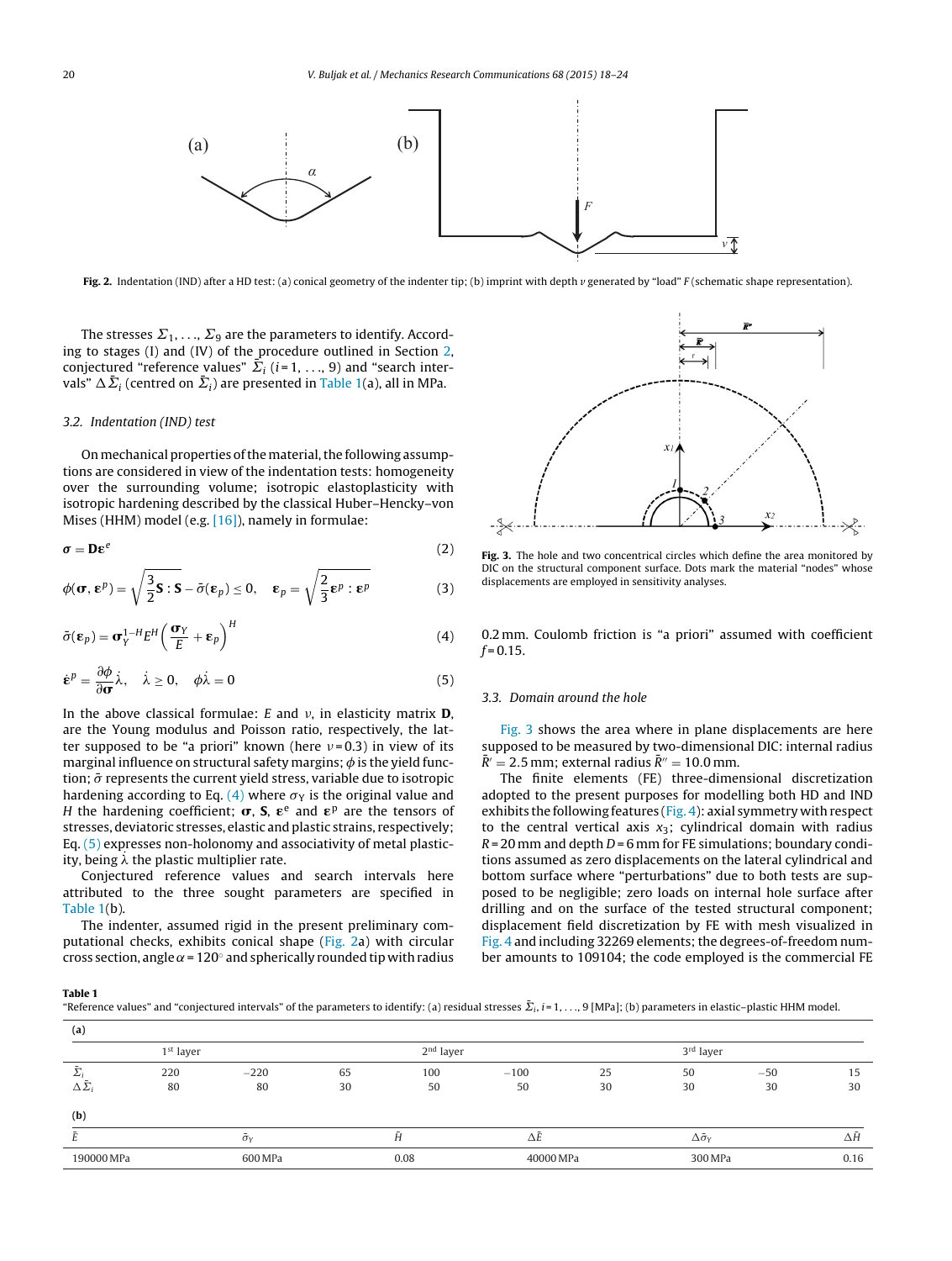<span id="page-2-0"></span>

**Fig. 2.** Indentation (IND) after a HD test: (a) conical geometry of the indenter tip; (b) imprint with depth *v* generated by "load" F (schematic shape representation).

The stresses  $\Sigma_1, \ldots, \Sigma_9$  are the parameters to identify. According to stages (I) and (IV) of the procedure outlined in Section [2,](#page-1-0) conjectured "reference values"  $\bar{\Sigma}_i$  (*i* = 1, . . ., 9) and "search intervals"  $\Delta \bar{\Sigma}_i$  (centred on  $\bar{\Sigma}_i$ ) are presented in Table 1(a), all in MPa.

## 3.2. Indentation (IND) test

On mechanical properties of the material, the following assumptions are considered in view of the indentation tests: homogeneity over the surrounding volume; isotropic elastoplasticity with isotropic hardening described by the classical Huber–Hencky–von Mises (HHM) model (e.g. [\[16\]\),](#page-6-0) namely in formulae:

$$
\sigma = \mathbf{D} \varepsilon^e \tag{2}
$$

$$
\phi(\boldsymbol{\sigma}, \boldsymbol{\epsilon}^p) = \sqrt{\frac{3}{2}\mathbf{S} : \mathbf{S} - \bar{\sigma}(\boldsymbol{\epsilon}_p) \le 0}, \quad \boldsymbol{\epsilon}_p = \sqrt{\frac{2}{3}\boldsymbol{\epsilon}^p : \boldsymbol{\epsilon}^p}
$$
(3)

$$
\bar{\sigma}(\mathbf{\varepsilon}_p) = \mathbf{\sigma}_Y^{1-H} E^H \left( \frac{\mathbf{\sigma}_Y}{E} + \mathbf{\varepsilon}_p \right)^H
$$
 (4)

$$
\dot{\boldsymbol{\varepsilon}}^p = \frac{\partial \phi}{\partial \boldsymbol{\sigma}} \dot{\lambda}, \quad \dot{\lambda} \ge 0, \quad \phi \dot{\lambda} = 0 \tag{5}
$$

In the above classical formulae:  $E$  and  $\nu$ , in elasticity matrix **D**, are the Young modulus and Poisson ratio, respectively, the latter supposed to be "a priori" known (here  $v = 0.3$ ) in view of its marginal influence on structural safety margins;  $\phi$  is the yield function;  $\bar{\sigma}$  represents the current yield stress, variable due to isotropic hardening according to Eq. (4) where  $\sigma_{\rm Y}$  is the original value and H the hardening coefficient;  $\sigma$ , **S**,  $\varepsilon$ <sup>e</sup> and  $\varepsilon$ <sup>p</sup> are the tensors of stresses, deviatoric stresses, elastic and plastic strains, respectively; Eq. (5) expresses non-holonomy and associativity of metal plasticity, being  $\lambda$  the plastic multiplier rate.

Conjectured reference values and search intervals here attributed to the three sought parameters are specified in Table 1(b).

The indenter, assumed rigid in the present preliminary computational checks, exhibits conical shape (Fig. 2a) with circular cross section, angle  $\alpha$  = 120 $\degree$  and spherically rounded tip with radius



**Fig. 3.** The hole and two concentrical circles which define the area monitored by DIC on the structural component surface. Dots mark the material "nodes" whose displacements are employed in sensitivity analyses.

0.2 mm. Coulomb friction is "a priori" assumed with coefficient  $f = 0.15$ .

## 3.3. Domain around the hole

Fig. 3 shows the area where in plane displacements are here supposed to be measured by two-dimensional DIC: internal radius  $\bar{R}$  = 2.5 mm; external radius  $\bar{R}$  = 10.0 mm.

The finite elements (FE) three-dimensional discretization adopted to the present purposes for modelling both HD and IND exhibits the following features ([Fig.](#page-3-0) 4): axial symmetry with respect to the central vertical axis  $x_3$ ; cylindrical domain with radius  $R = 20$  mm and depth  $D = 6$  mm for FE simulations; boundary conditions assumed as zero displacements on the lateral cylindrical and bottom surface where "perturbations" due to both tests are supposed to be negligible; zero loads on internal hole surface after drilling and on the surface of the tested structural component; displacement field discretization by FE with mesh visualized in [Fig.](#page-3-0) 4 and including 32269 elements; the degrees-of-freedom number amounts to 109104; the code employed is the commercial FE

**Table 1**

"Reference values" and "conjectured intervals" of the parameters to identify: (a) residual stresses  $\bar{\Sigma}_i$ ,  $i = 1, \ldots, 9$  [MPa]; (b) parameters in elastic–plastic HHM model.

| (a)                        |             |                                              |    |             |            |    |                         |       |      |
|----------------------------|-------------|----------------------------------------------|----|-------------|------------|----|-------------------------|-------|------|
|                            | $1st$ layer |                                              |    | $2nd$ layer |            |    | 3 <sup>rd</sup> layer   |       |      |
|                            | 220         | $-220$                                       | 65 | 100         | $-100$     | 25 | 50                      | $-50$ | 15   |
| $\Delta \mathit{\Sigma}_i$ | 80          | 80                                           | 30 | 50          | 50         | 30 | 30                      | 30    | 30   |
| (b)                        |             |                                              |    |             |            |    |                         |       |      |
|                            |             | $\overline{\phantom{0}}$<br>$\bar{\sigma}_Y$ |    | Η           | $\Delta E$ |    | $\Delta \bar{\sigma}_Y$ |       | ΔН   |
| 190000 MPa                 |             | 600 MPa                                      |    | 0.08        | 40000 MPa  |    | 300 MPa                 |       | 0.16 |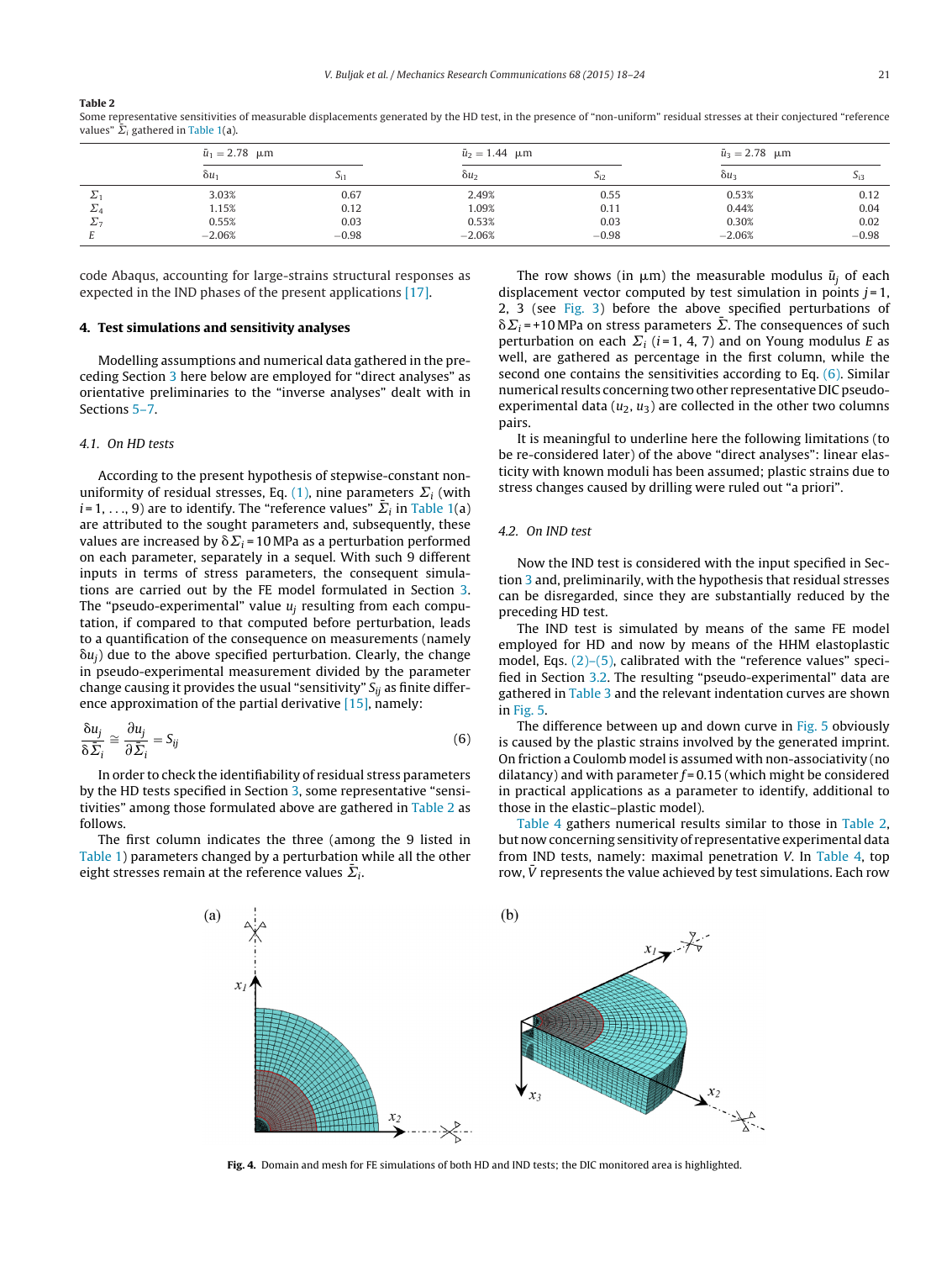#### <span id="page-3-0"></span>**Table 2**

Some representative sensitivities of measurable displacements generated by the HD test, in the presence of "non-uniform" residual stresses at their conjectured "reference values"  $\bar{\Sigma}_i$  gathered in [Table](#page-2-0) 1(a).

|            | $\bar{u}_1 = 2.78$ µm |         | $\bar{u}_2 = 1.44 \mu m$ |          | $\bar{u}_3 = 2.78$ µm |          |  |
|------------|-----------------------|---------|--------------------------|----------|-----------------------|----------|--|
|            | $\delta u_1$          | ٥i۱.    | $\delta u_2$             | $5_{i2}$ | $\delta u_3$          | $5_{13}$ |  |
| تنط        | 3.03%                 | 0.67    | 2.49%                    | 0.55     | 0.53%                 | 0.12     |  |
| $\Sigma$   | 1.15%                 | 0.12    | 1.09%                    | 0.11     | 0.44%                 | 0.04     |  |
| $\Sigma_7$ | 0.55%                 | 0.03    | 0.53%                    | 0.03     | 0.30%                 | 0.02     |  |
|            | $-2.06%$              | $-0.98$ | $-2.06%$                 | $-0.98$  | $-2.06%$              | $-0.98$  |  |

code Abaqus, accounting for large-strains structural responses as expected in the IND phases of the present applications [\[17\].](#page-6-0)

#### **4. Test simulations and sensitivity analyses**

Modelling assumptions and numerical data gathered in the preceding Section [3](#page-1-0) here below are employed for "direct analyses" as orientative preliminaries to the "inverse analyses" dealt with in Sections [5–7.](#page-4-0)

#### 4.1. On HD tests

According to the present hypothesis of stepwise-constant non-uniformity of residual stresses, Eq. [\(1\),](#page-1-0) nine parameters  $\Sigma_i$  (with  $i = 1, \ldots, 9$  are to identify. The "reference values"  $\overline{\Sigma}_i$  in [Table](#page-2-0) 1(a) are attributed to the sought parameters and, subsequently, these values are increased by  $\delta\Sigma_i$  = 10 MPa as a perturbation performed on each parameter, separately in a sequel. With such 9 different inputs in terms of stress parameters, the consequent simulations are carried out by the FE model formulated in Section [3.](#page-1-0) The "pseudo-experimental" value  $u_i$  resulting from each computation, if compared to that computed before perturbation, leads to a quantification of the consequence on measurements (namely  $\delta u_i$ ) due to the above specified perturbation. Clearly, the change in pseudo-experimental measurement divided by the parameter change causing it provides the usual "sensitivity"  $S_{ij}$  as finite difference approximation of the partial derivative  $[15]$ , namely:

$$
\frac{\delta u_j}{\delta \bar{\Sigma}_i} \cong \frac{\partial u_j}{\partial \bar{\Sigma}_i} = S_{ij}
$$
\n(6)

In order to check the identifiability of residual stress parameters by the HD tests specified in Section [3,](#page-1-0) some representative "sensitivities" among those formulated above are gathered in Table 2 as follows.

The first column indicates the three (among the 9 listed in [Table](#page-2-0) 1) parameters changed by a perturbation while all the other eight stresses remain at the reference values  $\bar{\Sigma}_i$ .

The row shows (in  $\mu$ m) the measurable modulus  $\bar{u}_i$  of each displacement vector computed by test simulation in points  $j = 1$ , 2, 3 (see [Fig.](#page-2-0) 3) before the above specified perturbations of  $\delta\Sigma_i$  = +10 MPa on stress parameters  $\bar{\Sigma}$ . The consequences of such perturbation on each  $\Sigma_i$  (i=1, 4, 7) and on Young modulus E as well, are gathered as percentage in the first column, while the second one contains the sensitivities according to Eq. (6). Similar numerical results concerning two other representative DIC pseudoexperimental data  $(u_2, u_3)$  are collected in the other two columns pairs.

It is meaningful to underline here the following limitations (to be re-considered later) of the above "direct analyses": linear elasticity with known moduli has been assumed; plastic strains due to stress changes caused by drilling were ruled out "a priori".

#### 4.2. On IND test

Now the IND test is considered with the input specified in Section [3](#page-1-0) and, preliminarily, with the hypothesis that residual stresses can be disregarded, since they are substantially reduced by the preceding HD test.

The IND test is simulated by means of the same FE model employed for HD and now by means of the HHM elastoplastic model, Eqs.  $(2)$ – $(5)$ , calibrated with the "reference values" specified in Section [3.2.](#page-2-0) The resulting "pseudo-experimental" data are gathered in [Table](#page-4-0) 3 and the relevant indentation curves are shown in [Fig.](#page-4-0) 5.

The difference between up and down curve in [Fig.](#page-4-0) 5 obviously is caused by the plastic strains involved by the generated imprint. On friction a Coulomb model is assumed with non-associativity (no dilatancy) and with parameter  $f = 0.15$  (which might be considered in practical applications as a parameter to identify, additional to those in the elastic–plastic model).

[Table](#page-4-0) 4 gathers numerical results similar to those in Table 2, but now concerning sensitivity of representative experimental data from IND tests, namely: maximal penetration V. In [Table](#page-4-0) 4, top row,  $\bar{V}$  represents the value achieved by test simulations. Each row



**Fig. 4.** Domain and mesh for FE simulations of both HD and IND tests; the DIC monitored area is highlighted.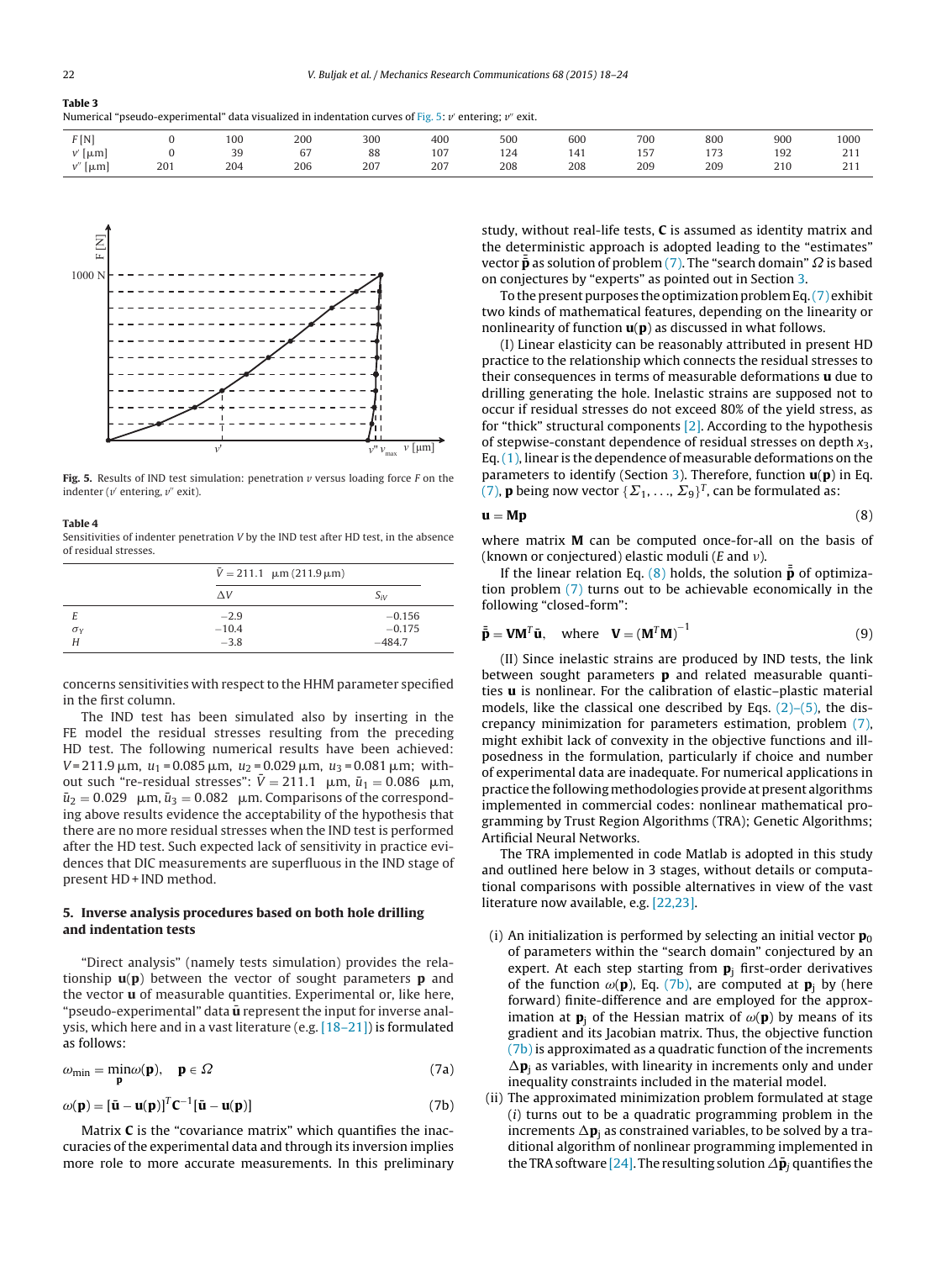<span id="page-4-0"></span>

| Table 3 |                                                                                                             |  |
|---------|-------------------------------------------------------------------------------------------------------------|--|
|         | Numerical "pseudo-experimental" data visualized in indentation curves of Fig. 5: $v'$ entering; $v''$ exit. |  |

| F[N]                         |     | 100      | 200      | 300 | 400 | 500<br>. | 60 <sub>C</sub><br>. | 700                     | 800           | 900<br>.                               | 1000 |
|------------------------------|-----|----------|----------|-----|-----|----------|----------------------|-------------------------|---------------|----------------------------------------|------|
| ${\mu}$ m                    |     | 3d<br>رر | GΠ<br>υ. | 88  | 107 | 124      | 141                  | 1 <sub>7</sub><br>1 J . | 172<br>$11 -$ | 192<br>the contract of the contract of | 211  |
| and The Company<br>$ \mu m $ | 201 | 204      | 206      | 207 | 207 | 208      | 208                  | 209                     | 209           | 210                                    | 211  |



**Fig. 5.** Results of IND test simulation: penetration *v* versus loading force F on the indenter ( $v'$  entering,  $v''$  exit).

#### **Table 4**

Sensitivities of indenter penetration V by the IND test after HD test, in the absence of residual stresses.

|            | $\bar{V} = 211.1 \mu m (211.9 \mu m)$ |          |  |
|------------|---------------------------------------|----------|--|
|            | $\wedge$ V                            | $S_{iV}$ |  |
| E          | $-2.9$                                | $-0.156$ |  |
| $\sigma_Y$ | $-10.4$                               | $-0.175$ |  |
| H          | $-3.8$                                | $-484.7$ |  |

concerns sensitivities with respect to the HHM parameter specified in the first column.

The IND test has been simulated also by inserting in the FE model the residual stresses resulting from the preceding HD test. The following numerical results have been achieved:  $V = 211.9 \,\mu \text{m}$ ,  $u_1 = 0.085 \,\mu \text{m}$ ,  $u_2 = 0.029 \,\mu \text{m}$ ,  $u_3 = 0.081 \,\mu \text{m}$ ; without such "re-residual stresses":  $\bar{V} = 211.1$  µm,  $\bar{u}_1 = 0.086$  µm,  $\bar{u}_2 = 0.029$  µm,  $\bar{u}_3 = 0.082$  µm. Comparisons of the corresponding above results evidence the acceptability of the hypothesis that there are no more residual stresses when the IND test is performed after the HD test. Such expected lack of sensitivity in practice evidences that DIC measurements are superfluous in the IND stage of present HD + IND method.

## **5. Inverse analysis procedures based on both hole drilling and indentation tests**

"Direct analysis" (namely tests simulation) provides the relationship **u**(**p**) between the vector of sought parameters **p** and the vector **u** of measurable quantities. Experimental or, like here, "pseudo-experimental" data **u** represent the input for inverse analysis, which here and in a vast literature (e.g. [\[18–21\]\)](#page-6-0) is formulated as follows:

$$
\omega_{\min} = \min_{\mathbf{p}} \omega(\mathbf{p}), \quad \mathbf{p} \in \Omega \tag{7a}
$$

$$
\omega(\mathbf{p}) = [\mathbf{\bar{u}} - \mathbf{u}(\mathbf{p})]^T \mathbf{C}^{-1} [\mathbf{\bar{u}} - \mathbf{u}(\mathbf{p})]
$$
(7b)

Matrix **C** is the "covariance matrix" which quantifies the inaccuracies of the experimental data and through its inversion implies more role to more accurate measurements. In this preliminary study, without real-life tests, **C** is assumed as identity matrix and the deterministic approach is adopted leading to the "estimates" vector  $\bar{\bar{\textbf{p}}}$  as solution of problem (7). The "search domain"  $\varOmega$  is based on conjectures by "experts" as pointed out in Section [3.](#page-1-0)

To the present purposes the optimization problem Eq.  $(7)$  exhibit two kinds of mathematical features, depending on the linearity or nonlinearity of function **u**(**p**) as discussed in what follows.

(I) Linear elasticity can be reasonably attributed in present HD practice to the relationship which connects the residual stresses to their consequences in terms of measurable deformations **u** due to drilling generating the hole. Inelastic strains are supposed not to occur if residual stresses do not exceed 80% of the yield stress, as for "thick" structural components  $[2]$ . According to the hypothesis of stepwise-constant dependence of residual stresses on depth  $x_3$ , Eq.  $(1)$ , linear is the dependence of measurable deformations on the parameters to identify (Section [3\).](#page-1-0) Therefore, function **u**(**p**) in Eq. (7), **p** being now vector  $\{\Sigma_1, \ldots, \Sigma_9\}^T$ , can be formulated as:

$$
\mathbf{u} = \mathbf{M}\mathbf{p} \tag{8}
$$

where matrix **M** can be computed once-for-all on the basis of (known or conjectured) elastic moduli ( $E$  and  $\nu$ ).

If the linear relation Eq.  $(8)$  holds, the solution  $\bar{\bar{p}}$  of optimization problem (7) turns out to be achievable economically in the following "closed-form":

$$
\bar{\mathbf{p}} = \mathbf{V} \mathbf{M}^T \bar{\mathbf{u}}, \quad \text{where} \quad \mathbf{V} = (\mathbf{M}^T \mathbf{M})^{-1}
$$
 (9)

(II) Since inelastic strains are produced by IND tests, the link between sought parameters **p** and related measurable quantities **u** is nonlinear. For the calibration of elastic–plastic material models, like the classical one described by Eqs.  $(2)-(5)$ , the discrepancy minimization for parameters estimation, problem (7), might exhibit lack of convexity in the objective functions and illposedness in the formulation, particularly if choice and number of experimental data are inadequate. For numerical applications in practice the following methodologies provide at present algorithms implemented in commercial codes: nonlinear mathematical programming by Trust Region Algorithms (TRA); Genetic Algorithms; Artificial Neural Networks.

The TRA implemented in code Matlab is adopted in this study and outlined here below in 3 stages, without details or computational comparisons with possible alternatives in view of the vast literature now available, e.g. [\[22,23\].](#page-6-0)

- (i) An initialization is performed by selecting an initial vector  $\mathbf{p}_0$ of parameters within the "search domain" conjectured by an expert. At each step starting from  $\mathbf{p}_i$  first-order derivatives of the function  $\omega(\mathbf{p})$ , Eq. (7b), are computed at  $\mathbf{p}_i$  by (here forward) finite-difference and are employed for the approximation at  $\mathbf{p}_i$  of the Hessian matrix of  $\omega(\mathbf{p})$  by means of its gradient and its Jacobian matrix. Thus, the objective function (7b) is approximated as a quadratic function of the increments  $\Delta p_i$  as variables, with linearity in increments only and under inequality constraints included in the material model.
- (ii) The approximated minimization problem formulated at stage (i) turns out to be a quadratic programming problem in the increments  $\Delta p_i$  as constrained variables, to be solved by a traditional algorithm of nonlinear programming implemented in the TRA software [\[24\].](#page-6-0) The resulting solution  $\Delta \bar{\mathbf{p}}_i$  quantifies the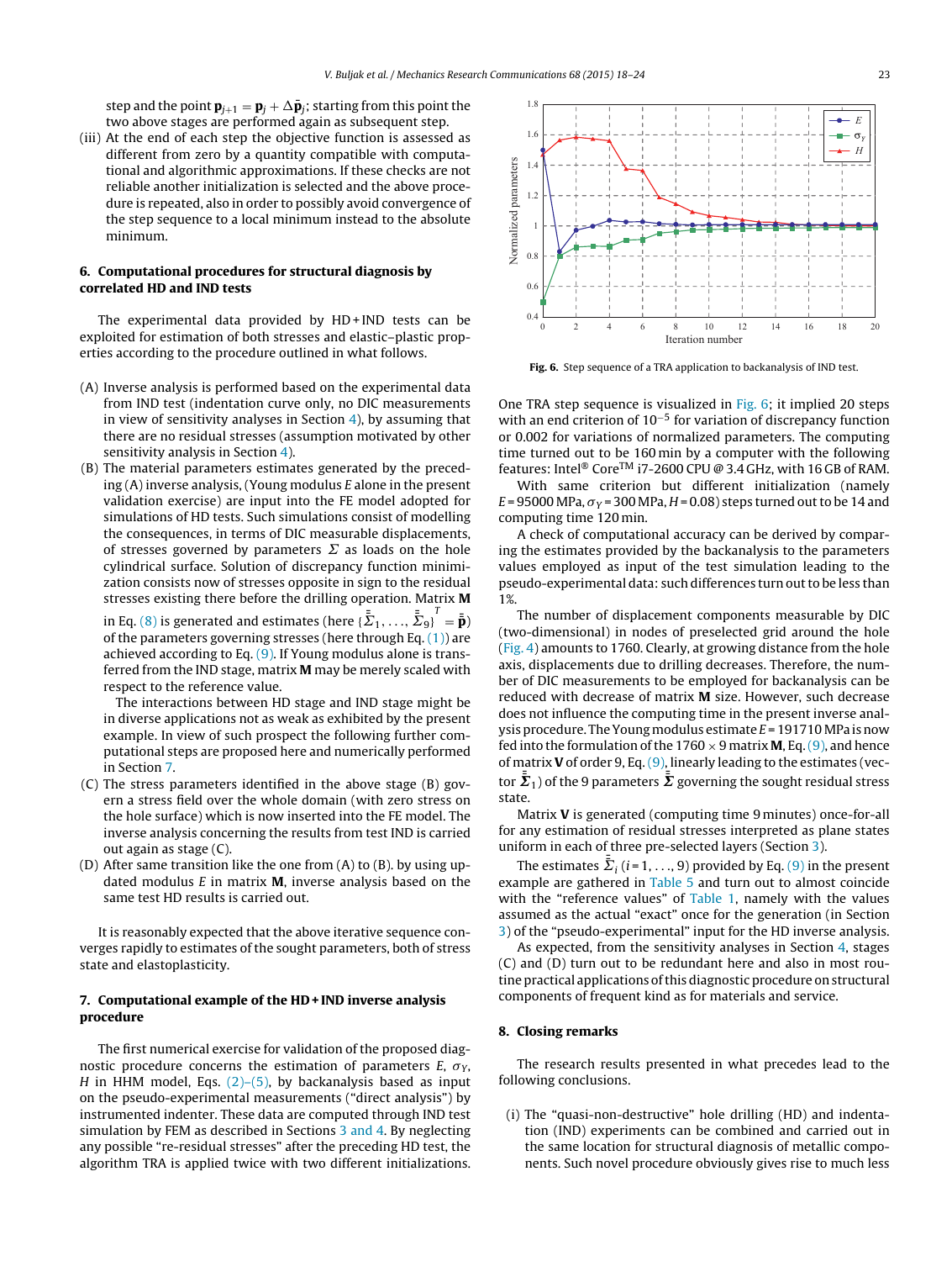<span id="page-5-0"></span>step and the point  $\mathbf{p}_{j+1} = \mathbf{p}_j + \Delta \bar{\mathbf{p}}_j$ ; starting from this point the two above stages are performed again as subsequent step.

(iii) At the end of each step the objective function is assessed as different from zero by a quantity compatible with computational and algorithmic approximations. If these checks are not reliable another initialization is selected and the above procedure is repeated, also in order to possibly avoid convergence of the step sequence to a local minimum instead to the absolute minimum.

## **6. Computational procedures for structural diagnosis by correlated HD and IND tests**

The experimental data provided by HD+IND tests can be exploited for estimation of both stresses and elastic–plastic properties according to the procedure outlined in what follows.

- (A) Inverse analysis is performed based on the experimental data from IND test (indentation curve only, no DIC measurements in view of sensitivity analyses in Section  $4$ ), by assuming that there are no residual stresses (assumption motivated by other sensitivity analysis in Section [4\).](#page-3-0)
- (B) The material parameters estimates generated by the preced $ing(A)$  inverse analysis, (Young modulus  $E$  alone in the present validation exercise) are input into the FE model adopted for simulations of HD tests. Such simulations consist of modelling the consequences, in terms of DIC measurable displacements, of stresses governed by parameters  $\Sigma$  as loads on the hole cylindrical surface. Solution of discrepancy function minimization consists now of stresses opposite in sign to the residual stresses existing there before the drilling operation. Matrix **M**

in Eq. [\(8\)](#page-4-0) is generated and estimates (here  $\{\bar{\bar{\Sigma}}_1, \ldots, \bar{\bar{\Sigma}}_9\}^T = \bar{\bar{\mathbf{p}}})$ of the parameters governing stresses (here through Eq.  $(1)$ ) are achieved according to Eq. [\(9\).](#page-4-0) If Young modulus alone is transferred from the IND stage, matrix **M** may be merely scaled with respect to the reference value.

The interactions between HD stage and IND stage might be in diverse applications not as weak as exhibited by the present example. In view of such prospect the following further computational steps are proposed here and numerically performed in Section 7.

- (C) The stress parameters identified in the above stage (B) govern a stress field over the whole domain (with zero stress on the hole surface) which is now inserted into the FE model. The inverse analysis concerning the results from test IND is carried out again as stage (C).
- (D) After same transition like the one from (A) to (B). by using updated modulus E in matrix **M**, inverse analysis based on the same test HD results is carried out.

It is reasonably expected that the above iterative sequence converges rapidly to estimates of the sought parameters, both of stress state and elastoplasticity.

## **7. Computational example of the HD + IND inverse analysis procedure**

The first numerical exercise for validation of the proposed diagnostic procedure concerns the estimation of parameters  $E$ ,  $\sigma_Y$ , H in HHM model, Eqs.  $(2)$ – $(5)$ , by backanalysis based as input on the pseudo-experimental measurements ("direct analysis") by instrumented indenter. These data are computed through IND test simulation by FEM as described in Sections [3](#page-1-0) [and](#page-1-0) [4.](#page-1-0) By neglecting any possible "re-residual stresses" after the preceding HD test, the algorithm TRA is applied twice with two different initializations.



**Fig. 6.** Step sequence of a TRA application to backanalysis of IND test.

One TRA step sequence is visualized in Fig. 6; it implied 20 steps with an end criterion of 10−<sup>5</sup> for variation of discrepancy function or 0.002 for variations of normalized parameters. The computing time turned out to be 160 min by a computer with the following features: Intel<sup>®</sup> Core<sup>TM</sup> i7-2600 CPU @ 3.4 GHz, with 16 GB of RAM.

With same criterion but different initialization (namely  $E = 95000$  MPa,  $\sigma_Y$  = 300 MPa,  $H$  = 0.08) steps turned out to be 14 and computing time 120 min.

A check of computational accuracy can be derived by comparing the estimates provided by the backanalysis to the parameters values employed as input of the test simulation leading to the pseudo-experimental data: such differences turn out to be less than 1%.

The number of displacement components measurable by DIC (two-dimensional) in nodes of preselected grid around the hole [\(Fig.](#page-3-0) 4) amounts to 1760. Clearly, at growing distance from the hole axis, displacements due to drilling decreases. Therefore, the number of DIC measurements to be employed for backanalysis can be reduced with decrease of matrix **M** size. However, such decrease does not influence the computing time in the present inverse analysis procedure. The Young modulus estimate  $E = 191710$  MPa is now fed into the formulation of the  $1760 \times 9$  matrix **M**, Eq. [\(9\),](#page-4-0) and hence of matrix **V** of order 9, Eq. [\(9\),](#page-4-0) linearly leading to the estimates (vector  $\bar{\bar{\mathbf{\Sigma}}}_1$  ) of the 9 parameters  $\bar{\bar{\mathbf{\Sigma}}}$  governing the sought residual stress state.

Matrix **V** is generated (computing time 9 minutes) once-for-all for any estimation of residual stresses interpreted as plane states uniform in each of three pre-selected layers (Section [3\).](#page-1-0)

The estimates  $\bar{\bar{\Sigma}}_i$  (i=1, ..., 9) provided by Eq. [\(9\)](#page-4-0) in the present example are gathered in [Table](#page-6-0) 5 and turn out to almost coincide with the "reference values" of [Table](#page-2-0) 1, namely with the values assumed as the actual "exact" once for the generation (in Section [3\)](#page-1-0) of the "pseudo-experimental" input for the HD inverse analysis.

As expected, from the sensitivity analyses in Section [4,](#page-3-0) stages (C) and (D) turn out to be redundant here and also in most routine practical applications ofthis diagnostic procedure on structural components of frequent kind as for materials and service.

#### **8. Closing remarks**

The research results presented in what precedes lead to the following conclusions.

(i) The "quasi-non-destructive" hole drilling (HD) and indentation (IND) experiments can be combined and carried out in the same location for structural diagnosis of metallic components. Such novel procedure obviously gives rise to much less